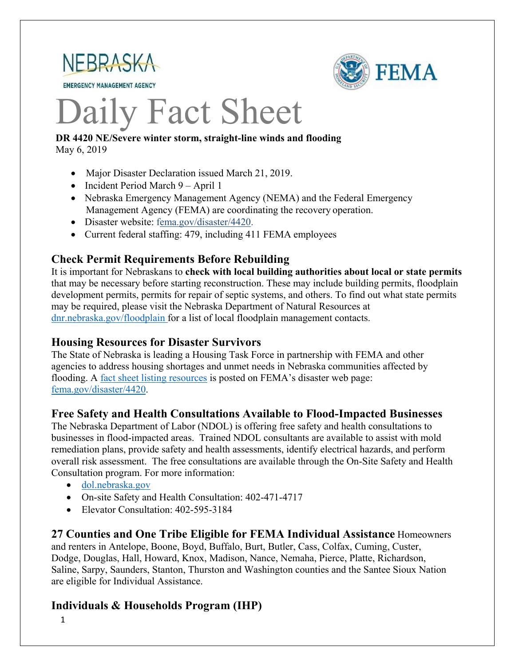

**EMERGENCY MANAGEMENT AGENCY** 



# Daily Fact Sheet

#### **DR 4420 NE/Severe winter storm, straight-line winds and flooding** May 6, 2019

- Major Disaster Declaration issued March 21, 2019.
- Incident Period March 9 April 1
- Nebraska Emergency Management Agency (NEMA) and the Federal Emergency Management Agency (FEMA) are coordinating the recovery operation.
- Disaster website: [fema.gov/disaster/4420.](https://www.fema.gov/disaster/4420)
- Current federal staffing: 479, including 411 FEMA employees

# **Check Permit Requirements Before Rebuilding**

It is important for Nebraskans to **check with local building authorities about local or state permits** that may be necessary before starting reconstruction. These may include building permits, floodplain development permits, permits for repair of septic systems, and others. To find out what state permits may be required, please visit the Nebraska Department of Natural Resources at [dnr.nebraska.gov/floodplain](https://dnr.nebraska.gov/floodplain) for a list of local floodplain management contacts.

#### **Housing Resources for Disaster Survivors**

The State of Nebraska is leading a Housing Task Force in partnership with FEMA and other agencies to address housing shortages and unmet needs in Nebraska communities affected by flooding. A [fact sheet listing resources](https://edit.fema.gov/news-release/2019/04/19/fact-sheet-housing-resources-residents-nebraska-affected-march-storms-0) is posted on FEMA's disaster web page: [fema.gov/disaster/4420.](http://www.fema.gov/disaster/4420)

## **Free Safety and Health Consultations Available to Flood-Impacted Businesses**

The Nebraska Department of Labor (NDOL) is offering free safety and health consultations to businesses in flood-impacted areas. Trained NDOL consultants are available to assist with mold remediation plans, provide safety and health assessments, identify electrical hazards, and perform overall risk assessment. The free consultations are available through the On-Site Safety and Health Consultation program. For more information:

- [dol.nebraska.gov](https://dol.nebraska.gov/PressRelease/Details/117)
- On-site Safety and Health Consultation: 402-471-4717
- Elevator Consultation: 402-595-3184

**27 Counties and One Tribe Eligible for FEMA Individual Assistance** Homeowners and renters in Antelope, Boone, Boyd, Buffalo, Burt, Butler, Cass, Colfax, Cuming, Custer, Dodge, Douglas, Hall, Howard, Knox, Madison, Nance, Nemaha, Pierce, Platte, Richardson, Saline, Sarpy, Saunders, Stanton, Thurston and Washington counties and the Santee Sioux Nation are eligible for Individual Assistance.

## **Individuals & Households Program (IHP)**

1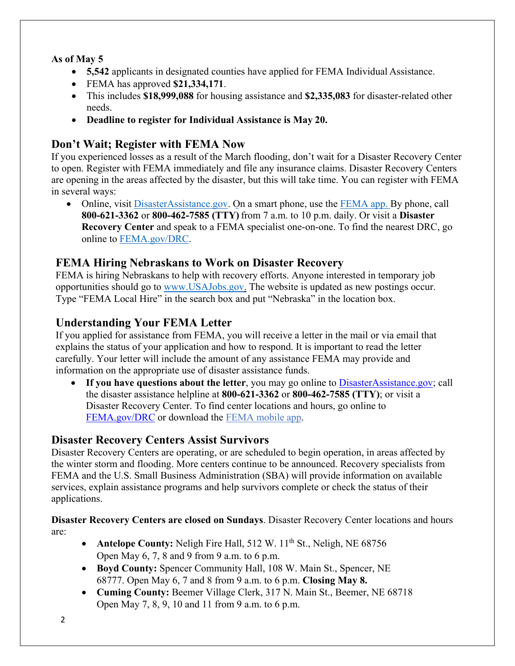#### **As of May 5**

- **5,542** applicants in designated counties have applied for FEMA Individual Assistance.
- FEMA has approved **\$21,334,171**.
- This includes **\$18,999,088** for housing assistance and **\$2,335,083** for disaster-related other needs.
- **Deadline to register for Individual Assistance is May 20.**

# **Don't Wait; Register with FEMA Now**

If you experienced losses as a result of the March flooding, don't wait for a Disaster Recovery Center to open. Register with FEMA immediately and file any insurance claims. Disaster Recovery Centers are opening in the areas affected by the disaster, but this will take time. You can register with FEMA in several ways:

• Online, visit [DisasterAssistance.gov.](https://disasterassistance.gov/) On a smart phone, use the [FEMA app.](https://www.fema.gov/mobile-app) By phone, call **800-621-3362** or **800-462-7585 (TTY)** from 7 a.m. to 10 p.m. daily. Or visit a **Disaster Recovery Center** and speak to a FEMA specialist one-on-one. To find the nearest DRC, go online to [FEMA.gov/DRC.](http://www.fema.gov/DRC)

# **FEMA Hiring Nebraskans to Work on Disaster Recovery**

FEMA is hiring Nebraskans to help with recovery efforts. Anyone interested in temporary job opportunities should go to [www.USAJobs.gov.](http://www.usajobs.gov/) The website is updated as new postings occur. Type "FEMA Local Hire" in the search box and put "Nebraska" in the location box.

# **Understanding Your FEMA Letter**

If you applied for assistance from FEMA, you will receive a letter in the mail or via email that explains the status of your application and how to respond. It is important to read the letter carefully. Your letter will include the amount of any assistance FEMA may provide and information on the appropriate use of disaster assistance funds.

• If you have questions about the letter, you may go online to [DisasterAssistance.gov;](http://www.disasterassistance.gov/) call the disaster assistance helpline at **800-621-3362** or **800-462-7585 (TTY)**; or visit a Disaster Recovery Center. To find center locations and hours, go online t[o](https://www.fema.gov/disaster-recovery-centers) [FEMA.gov/DRC](https://www.fema.gov/disaster-recovery-centers) or download the [FEMA mobile](https://www.fema.gov/mobile-app) app.

# **Disaster Recovery Centers Assist Survivors**

Disaster Recovery Centers are operating, or are scheduled to begin operation, in areas affected by the winter storm and flooding. More centers continue to be announced. Recovery specialists from FEMA and the U.S. Small Business Administration (SBA) will provide information on available services, explain assistance programs and help survivors complete or check the status of their applications.

**Disaster Recovery Centers are closed on Sundays**. Disaster Recovery Center locations and hours are:

- **Antelope County:** Neligh Fire Hall, 512 W. 11<sup>th</sup> St., Neligh, NE 68756 Open May 6, 7, 8 and 9 from 9 a.m. to 6 p.m.
- **Boyd County:** Spencer Community Hall, 108 W. Main St., Spencer, NE 68777. Open May 6, 7 and 8 from 9 a.m. to 6 p.m. **Closing May 8.**
- **Cuming County:** Beemer Village Clerk, 317 N. Main St., Beemer, NE 68718 Open May 7, 8, 9, 10 and 11 from 9 a.m. to 6 p.m.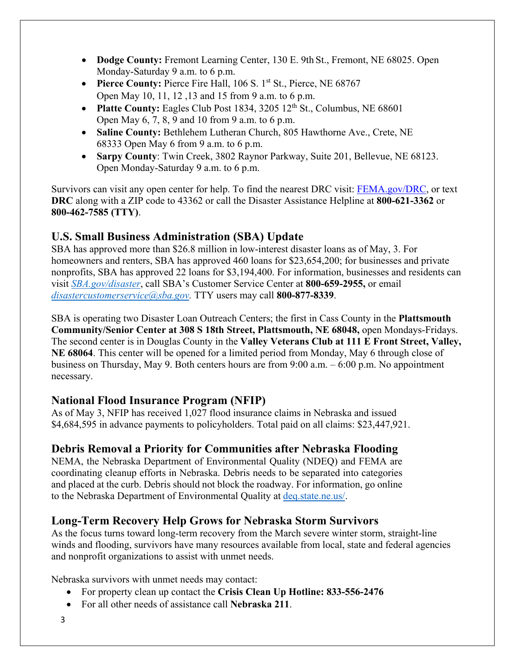- **Dodge County:** Fremont Learning Center, 130 E. 9th St., Fremont, NE 68025. Open Monday-Saturday 9 a.m. to 6 p.m.
- **Pierce County:** Pierce Fire Hall, 106 S. 1<sup>st</sup> St., Pierce, NE 68767 Open May 10, 11, 12 ,13 and 15 from 9 a.m. to 6 p.m.
- **Platte County:** Eagles Club Post 1834, 3205 12<sup>th</sup> St., Columbus, NE 68601 Open May 6, 7, 8, 9 and 10 from 9 a.m. to 6 p.m.
- **Saline County:** Bethlehem Lutheran Church, 805 Hawthorne Ave., Crete, NE 68333 Open May 6 from 9 a.m. to 6 p.m.
- **Sarpy County**: Twin Creek, 3802 Raynor Parkway, Suite 201, Bellevue, NE 68123. Open Monday-Saturday 9 a.m. to 6 p.m.

Survivors can visit any open center for help. To find the nearest DRC visit: [FEMA.gov/DRC,](http://www.fema.gov/DRC) or text **DRC** along with a ZIP code to 43362 or call the Disaster Assistance Helpline at **800-621-3362** or **800-462-7585 (TTY)**.

# **U.S. Small Business Administration (SBA) Update**

SBA has approved more than \$26.8 million in low-interest disaster loans as of May, 3. For homeowners and renters, SBA has approved 460 loans for \$23,654,200; for businesses and private nonprofits, SBA has approved 22 loans for \$3,194,400. For information, businesses and residents can visit *[SBA.gov/disaster](http://www.sba.gov/disaster)*, call SBA's Customer Service Center at **800-659-2955,** or email *[disastercustomerservice@sba.gov.](mailto:disastercustomerservice@sba.gov)* TTY users may call **800-877-8339**.

SBA is operating two Disaster Loan Outreach Centers; the first in Cass County in the **Plattsmouth Community/Senior Center at 308 S 18th Street, Plattsmouth, NE 68048,** open Mondays-Fridays. The second center is in Douglas County in the **Valley Veterans Club at 111 E Front Street, Valley, NE 68064**. This center will be opened for a limited period from Monday, May 6 through close of business on Thursday, May 9. Both centers hours are from 9:00 a.m. – 6:00 p.m. No appointment necessary.

## **National Flood Insurance Program (NFIP)**

As of May 3, NFIP has received 1,027 flood insurance claims in Nebraska and issued \$4,684,595 in advance payments to policyholders. Total paid on all claims: \$23,447,921.

# **Debris Removal a Priority for Communities after Nebraska Flooding**

NEMA, the Nebraska Department of Environmental Quality (NDEQ) and FEMA are coordinating cleanup efforts in Nebraska. Debris needs to be separated into categories and placed at the curb. Debris should not block the roadway. For information, go online to the Nebraska Department of Environmental Quality at [deq.state.ne.us/.](http://www.deq.state.ne.us/)

## **Long-Term Recovery Help Grows for Nebraska Storm Survivors**

As the focus turns toward long-term recovery from the March severe winter storm, straight-line winds and flooding, survivors have many resources available from local, state and federal agencies and nonprofit organizations to assist with unmet needs.

Nebraska survivors with unmet needs may contact:

- For property clean up contact the **Crisis Clean Up Hotline: 833-556-2476**
- For all other needs of assistance call **Nebraska 211**.
- 3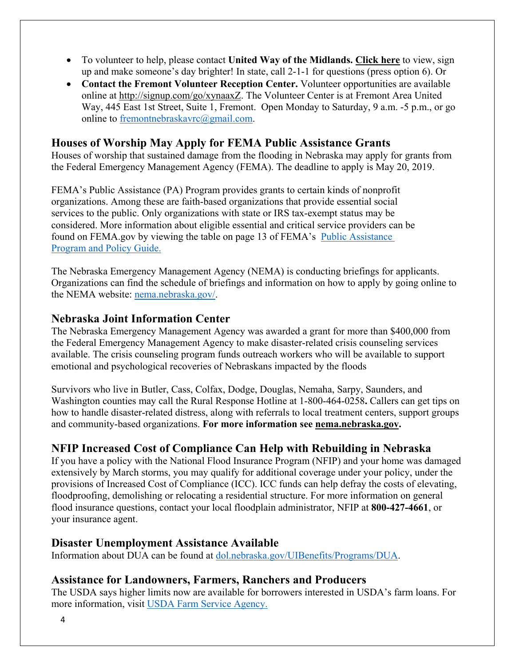- To volunteer to help, please contact **United Way of the Midlands. [Click](https://uwmidlands.galaxydigital.com/need/?s=1&need_init_id=1660) here** to view, sign up and make someone's day brighter! In state, call 2-1-1 for questions (press option 6). Or
- **Contact the Fremont Volunteer Reception Center.** Volunteer opportunities are available online at [http://signup.com/go/xynaaxZ.](http://signup.com/go/xynaaxZ?fbclid=IwAR1m90U2vgYS7ECdb6AHljMooZNkdAfb6i-7s_1hgOCf11d0oi-VMnJcMYY) The Volunteer Center is at Fremont Area United Way, 445 East 1st Street, Suite 1, Fremont. Open Monday to Saturday, 9 a.m. -5 p.m., or go online to [fremontnebraskavrc@gmail.com.](mailto:fremontnebraskavrc@gmail.com)

#### **Houses of Worship May Apply for FEMA Public Assistance Grants**

Houses of worship that sustained damage from the flooding in Nebraska may apply for grants from the Federal Emergency Management Agency (FEMA). The deadline to apply is May 20, 2019.

FEMA's Public Assistance (PA) Program provides grants to certain kinds of nonprofit organizations. Among these are faith-based organizations that provide essential social services to the public. Only organizations with state or IRS tax-exempt status may be considered. More information about eligible essential and critical service providers can be found on FEMA.gov by viewing the table on page 13 of FEMA's [Public Assistance](https://www.fema.gov/media-library-data/1525468328389-4a038bbef9081cd7dfe7538e7751aa9c/PAPPG_3.1_508_FINAL_5-4-2018.pdf)  [Program and Policy Guide.](https://www.fema.gov/media-library-data/1525468328389-4a038bbef9081cd7dfe7538e7751aa9c/PAPPG_3.1_508_FINAL_5-4-2018.pdf)

The Nebraska Emergency Management Agency (NEMA) is conducting briefings for applicants. Organizations can find the schedule of briefings and information on how to apply by going online to the NEMA website: [nema.nebraska.gov/.](https://nema.nebraska.gov/)

#### **Nebraska Joint Information Center**

The Nebraska Emergency Management Agency was awarded a grant for more than \$400,000 from the Federal Emergency Management Agency to make disaster-related crisis counseling services available. The crisis counseling program funds outreach workers who will be available to support emotional and psychological recoveries of Nebraskans impacted by the floods

Survivors who live in Butler, Cass, Colfax, Dodge, Douglas, Nemaha, Sarpy, Saunders, and Washington counties may call the Rural Response Hotline at 1-800-464-0258**.** Callers can get tips on how to handle disaster-related distress, along with referrals to local treatment centers, support groups and community-based organizations. **For more information see [nema.nebraska.gov.](file://fema.net/R7/DR/DR-4420-NE/EA/Planning%20and%20Products/Writers/Dale%20Bonza/DFS/nema.nebraska.gov)**

# **NFIP Increased Cost of Compliance Can Help with Rebuilding in Nebraska**

If you have a policy with the National Flood Insurance Program (NFIP) and your home was damaged extensively by March storms, you may qualify for additional coverage under your policy, under the provisions of Increased Cost of Compliance (ICC). ICC funds can help defray the costs of elevating, floodproofing, demolishing or relocating a residential structure. For more information on general flood insurance questions, contact your local floodplain administrator, NFIP at **800-427-4661**, or your insurance agent.

#### **Disaster Unemployment Assistance Available**

Information about DUA can be found at [dol.nebraska.gov/UIBenefits/Programs/DUA.](https://dol.nebraska.gov/UIBenefits/Programs/DUA)

## **Assistance for Landowners, Farmers, Ranchers and Producers**

The USDA says higher limits now are available for borrowers interested in USDA's farm loans. For more information, visit [USDA Farm Service Agency.](https://www.fsa.usda.gov/)